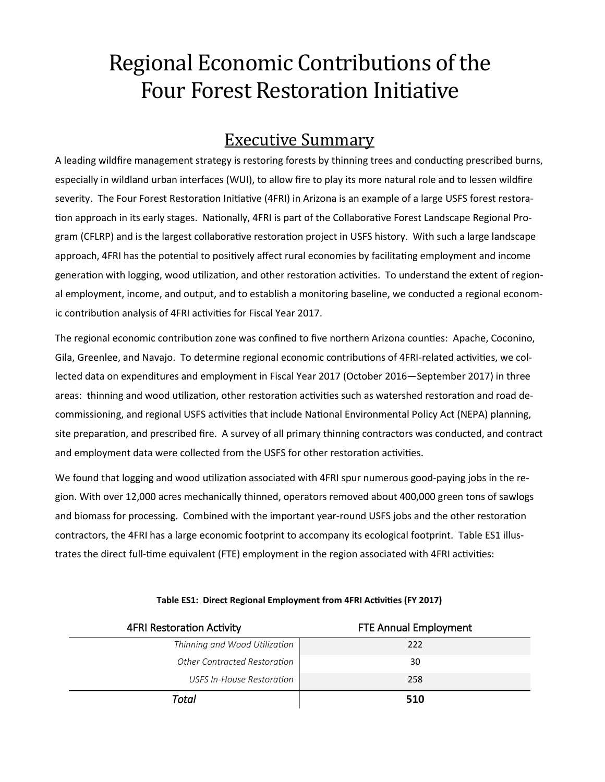## Regional Economic Contributions of the Four Forest Restoration Initiative

## Executive Summary

A leading wildfire management strategy is restoring forests by thinning trees and conducting prescribed burns, especially in wildland urban interfaces (WUI), to allow fire to play its more natural role and to lessen wildfire severity. The Four Forest Restoration Initiative (4FRI) in Arizona is an example of a large USFS forest restoration approach in its early stages. Nationally, 4FRI is part of the Collaborative Forest Landscape Regional Program (CFLRP) and is the largest collaborative restoration project in USFS history. With such a large landscape approach, 4FRI has the potential to positively affect rural economies by facilitating employment and income generation with logging, wood utilization, and other restoration activities. To understand the extent of regional employment, income, and output, and to establish a monitoring baseline, we conducted a regional economic contribution analysis of 4FRI activities for Fiscal Year 2017.

The regional economic contribution zone was confined to five northern Arizona counties: Apache, Coconino, Gila, Greenlee, and Navajo. To determine regional economic contributions of 4FRI-related activities, we collected data on expenditures and employment in Fiscal Year 2017 (October 2016—September 2017) in three areas: thinning and wood utilization, other restoration activities such as watershed restoration and road decommissioning, and regional USFS activities that include National Environmental Policy Act (NEPA) planning, site preparation, and prescribed fire. A survey of all primary thinning contractors was conducted, and contract and employment data were collected from the USFS for other restoration activities.

We found that logging and wood utilization associated with 4FRI spur numerous good-paying jobs in the region. With over 12,000 acres mechanically thinned, operators removed about 400,000 green tons of sawlogs and biomass for processing. Combined with the important year-round USFS jobs and the other restoration contractors, the 4FRI has a large economic footprint to accompany its ecological footprint. Table ES1 illustrates the direct full-time equivalent (FTE) employment in the region associated with 4FRI activities:

| <b>4FRI Restoration Activity</b> | <b>FTE Annual Employment</b> |
|----------------------------------|------------------------------|
| Thinning and Wood Utilization    | 222                          |
| Other Contracted Restoration     | 30                           |
| USFS In-House Restoration        | 258                          |
| Total                            | 510                          |

## **Table ES1: Direct Regional Employment from 4FRI Activities (FY 2017)**